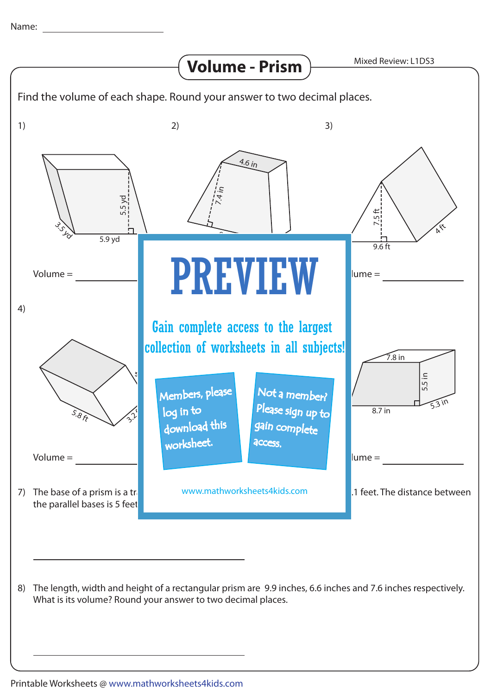